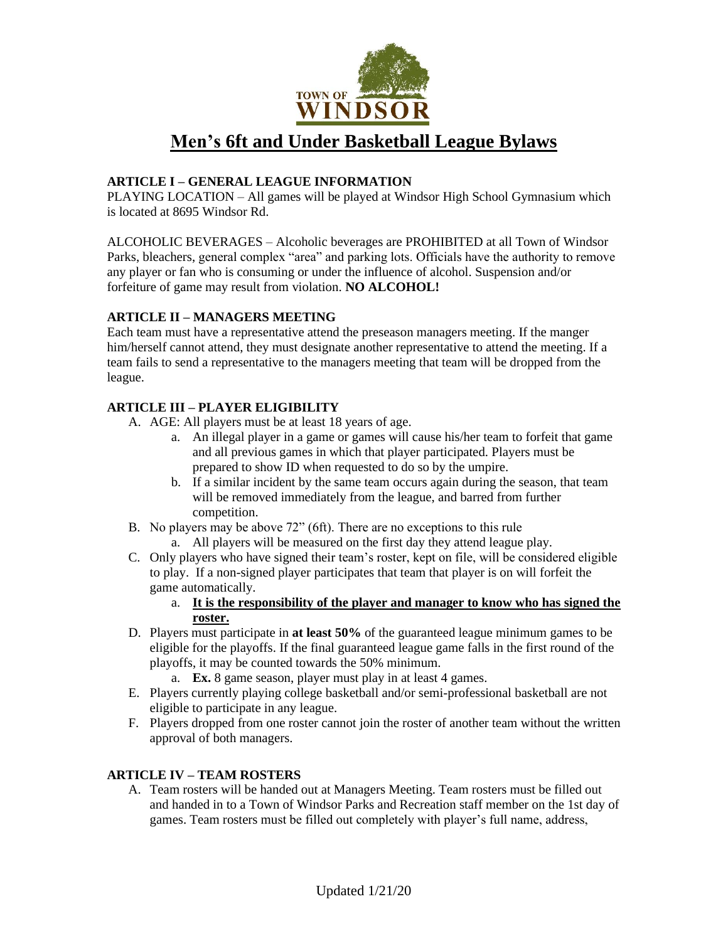

# **Men's 6ft and Under Basketball League Bylaws**

## **ARTICLE I – GENERAL LEAGUE INFORMATION**

PLAYING LOCATION – All games will be played at Windsor High School Gymnasium which is located at 8695 Windsor Rd.

ALCOHOLIC BEVERAGES – Alcoholic beverages are PROHIBITED at all Town of Windsor Parks, bleachers, general complex "area" and parking lots. Officials have the authority to remove any player or fan who is consuming or under the influence of alcohol. Suspension and/or forfeiture of game may result from violation. **NO ALCOHOL!**

## **ARTICLE II – MANAGERS MEETING**

Each team must have a representative attend the preseason managers meeting. If the manger him/herself cannot attend, they must designate another representative to attend the meeting. If a team fails to send a representative to the managers meeting that team will be dropped from the league.

## **ARTICLE III – PLAYER ELIGIBILITY**

- A. AGE: All players must be at least 18 years of age.
	- a. An illegal player in a game or games will cause his/her team to forfeit that game and all previous games in which that player participated. Players must be prepared to show ID when requested to do so by the umpire.
	- b. If a similar incident by the same team occurs again during the season, that team will be removed immediately from the league, and barred from further competition.
- B. No players may be above 72" (6ft). There are no exceptions to this rule
	- a. All players will be measured on the first day they attend league play.
- C. Only players who have signed their team's roster, kept on file, will be considered eligible to play. If a non-signed player participates that team that player is on will forfeit the game automatically.
	- a. **It is the responsibility of the player and manager to know who has signed the roster.**
- D. Players must participate in **at least 50%** of the guaranteed league minimum games to be eligible for the playoffs. If the final guaranteed league game falls in the first round of the playoffs, it may be counted towards the 50% minimum.
	- a. **Ex.** 8 game season, player must play in at least 4 games.
- E. Players currently playing college basketball and/or semi-professional basketball are not eligible to participate in any league.
- F. Players dropped from one roster cannot join the roster of another team without the written approval of both managers.

## **ARTICLE IV – TEAM ROSTERS**

A. Team rosters will be handed out at Managers Meeting. Team rosters must be filled out and handed in to a Town of Windsor Parks and Recreation staff member on the 1st day of games. Team rosters must be filled out completely with player's full name, address,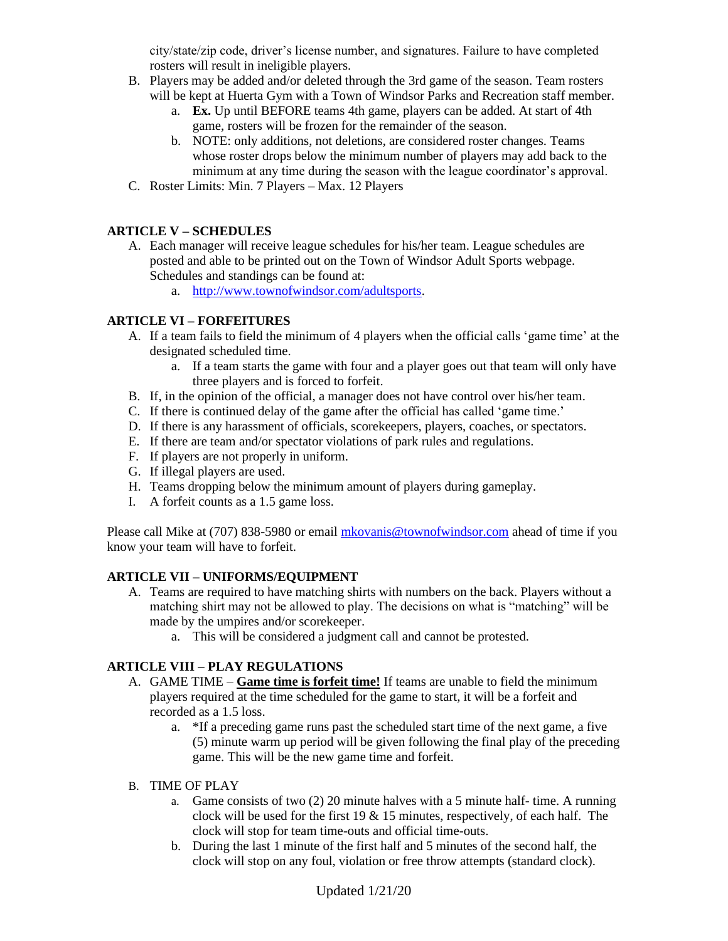city/state/zip code, driver's license number, and signatures. Failure to have completed rosters will result in ineligible players.

- B. Players may be added and/or deleted through the 3rd game of the season. Team rosters will be kept at Huerta Gym with a Town of Windsor Parks and Recreation staff member.
	- a. **Ex.** Up until BEFORE teams 4th game, players can be added. At start of 4th game, rosters will be frozen for the remainder of the season.
	- b. NOTE: only additions, not deletions, are considered roster changes. Teams whose roster drops below the minimum number of players may add back to the minimum at any time during the season with the league coordinator's approval.
- C. Roster Limits: Min. 7 Players Max. 12 Players

## **ARTICLE V – SCHEDULES**

- A. Each manager will receive league schedules for his/her team. League schedules are posted and able to be printed out on the Town of Windsor Adult Sports webpage. Schedules and standings can be found at:
	- a. [http://www.townofwindsor.com/adultsports.](http://www.townofwindsor.com/adultsports)

## **ARTICLE VI – FORFEITURES**

- A. If a team fails to field the minimum of 4 players when the official calls 'game time' at the designated scheduled time.
	- a. If a team starts the game with four and a player goes out that team will only have three players and is forced to forfeit.
- B. If, in the opinion of the official, a manager does not have control over his/her team.
- C. If there is continued delay of the game after the official has called 'game time.'
- D. If there is any harassment of officials, scorekeepers, players, coaches, or spectators.
- E. If there are team and/or spectator violations of park rules and regulations.
- F. If players are not properly in uniform.
- G. If illegal players are used.
- H. Teams dropping below the minimum amount of players during gameplay.
- I. A forfeit counts as a 1.5 game loss.

Please call Mike at (707) 838-5980 or emai[l mkovanis@townofwindsor.com](mailto:mkovanis@townofwindsor.com) ahead of time if you know your team will have to forfeit.

## **ARTICLE VII – UNIFORMS/EQUIPMENT**

- A. Teams are required to have matching shirts with numbers on the back. Players without a matching shirt may not be allowed to play. The decisions on what is "matching" will be made by the umpires and/or scorekeeper.
	- a. This will be considered a judgment call and cannot be protested.

## **ARTICLE VIII – PLAY REGULATIONS**

- A. GAME TIME **Game time is forfeit time!** If teams are unable to field the minimum players required at the time scheduled for the game to start, it will be a forfeit and recorded as a 1.5 loss.
	- a. \*If a preceding game runs past the scheduled start time of the next game, a five (5) minute warm up period will be given following the final play of the preceding game. This will be the new game time and forfeit.
- B. TIME OF PLAY
	- a. Game consists of two (2) 20 minute halves with a 5 minute half- time. A running clock will be used for the first 19  $\&$  15 minutes, respectively, of each half. The clock will stop for team time-outs and official time-outs.
	- b. During the last 1 minute of the first half and 5 minutes of the second half, the clock will stop on any foul, violation or free throw attempts (standard clock).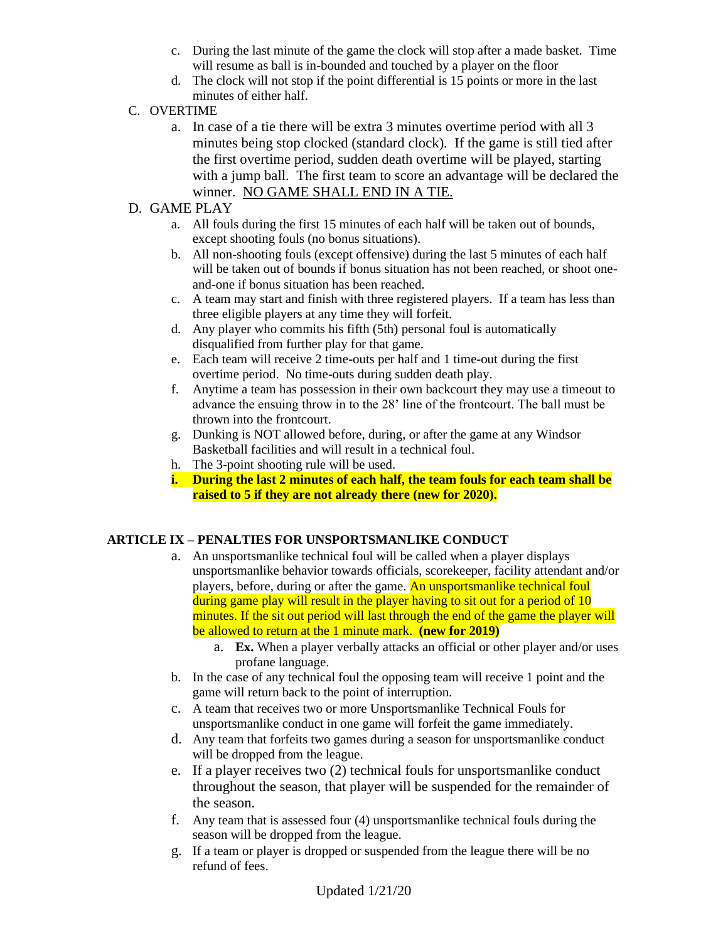- c. During the last minute of the game the clock will stop after a made basket. Time will resume as ball is in-bounded and touched by a player on the floor
- d. The clock will not stop if the point differential is 15 points or more in the last minutes of either half.
- C. OVERTIME
	- a. In case of a tie there will be extra 3 minutes overtime period with all 3 minutes being stop clocked (standard clock). If the game is still tied after the first overtime period, sudden death overtime will be played, starting with a jump ball. The first team to score an advantage will be declared the winner. NO GAME SHALL END IN A TIE.
- D. GAME PLAY
	- a. All fouls during the first 15 minutes of each half will be taken out of bounds, except shooting fouls (no bonus situations).
	- b. All non-shooting fouls (except offensive) during the last 5 minutes of each half will be taken out of bounds if bonus situation has not been reached, or shoot oneand-one if bonus situation has been reached.
	- c. A team may start and finish with three registered players. If a team has less than three eligible players at any time they will forfeit.
	- d. Any player who commits his fifth (5th) personal foul is automatically disqualified from further play for that game.
	- e. Each team will receive 2 time-outs per half and 1 time-out during the first overtime period. No time-outs during sudden death play.
	- f. Anytime a team has possession in their own backcourt they may use a timeout to advance the ensuing throw in to the 28' line of the frontcourt. The ball must be thrown into the frontcourt.
	- g. Dunking is NOT allowed before, during, or after the game at any Windsor Basketball facilities and will result in a technical foul.
	- h. The 3-point shooting rule will be used.
	- **i. During the last 2 minutes of each half, the team fouls for each team shall be raised to 5 if they are not already there (new for 2020).**

## **ARTICLE IX – PENALTIES FOR UNSPORTSMANLIKE CONDUCT**

- a. An unsportsmanlike technical foul will be called when a player displays unsportsmanlike behavior towards officials, scorekeeper, facility attendant and/or players, before, during or after the game. An unsportsmanlike technical foul during game play will result in the player having to sit out for a period of 10 minutes. If the sit out period will last through the end of the game the player will be allowed to return at the 1 minute mark. **(new for 2019)**
	- a. **Ex.** When a player verbally attacks an official or other player and/or uses profane language.
- b. In the case of any technical foul the opposing team will receive 1 point and the game will return back to the point of interruption.
- c. A team that receives two or more Unsportsmanlike Technical Fouls for unsportsmanlike conduct in one game will forfeit the game immediately.
- d. Any team that forfeits two games during a season for unsportsmanlike conduct will be dropped from the league.
- e. If a player receives two (2) technical fouls for unsportsmanlike conduct throughout the season, that player will be suspended for the remainder of the season.
- f. Any team that is assessed four (4) unsportsmanlike technical fouls during the season will be dropped from the league.
- g. If a team or player is dropped or suspended from the league there will be no refund of fees.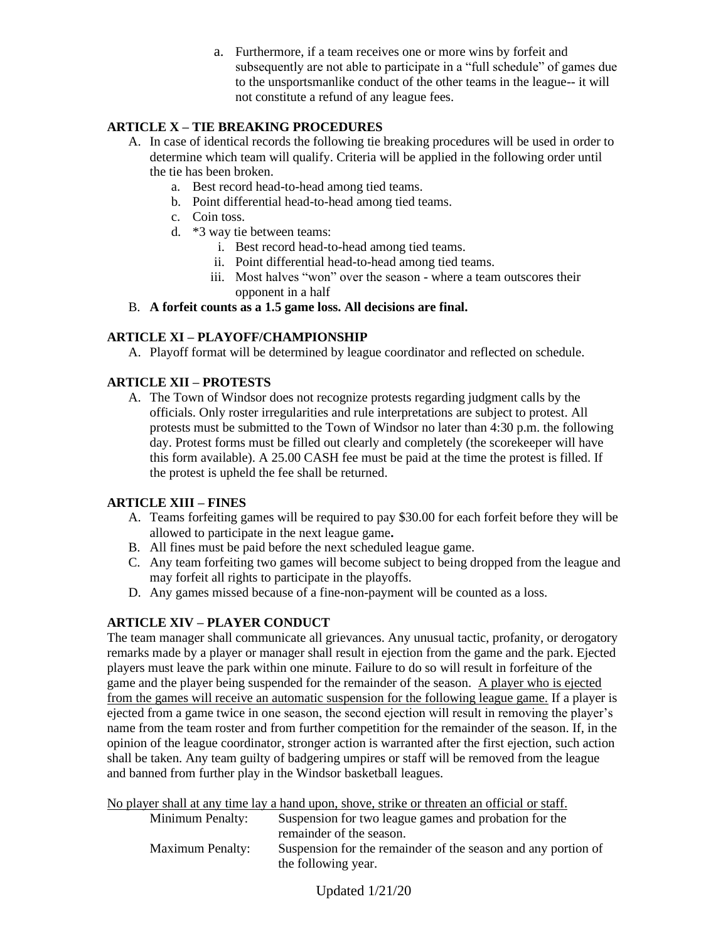a. Furthermore, if a team receives one or more wins by forfeit and subsequently are not able to participate in a "full schedule" of games due to the unsportsmanlike conduct of the other teams in the league-- it will not constitute a refund of any league fees.

## **ARTICLE X – TIE BREAKING PROCEDURES**

- A. In case of identical records the following tie breaking procedures will be used in order to determine which team will qualify. Criteria will be applied in the following order until the tie has been broken.
	- a. Best record head-to-head among tied teams.
	- b. Point differential head-to-head among tied teams.
	- c. Coin toss.
	- d. \*3 way tie between teams:
		- i. Best record head-to-head among tied teams.
		- ii. Point differential head-to-head among tied teams.
		- iii. Most halves "won" over the season where a team outscores their opponent in a half

## B. **A forfeit counts as a 1.5 game loss. All decisions are final.**

## **ARTICLE XI – PLAYOFF/CHAMPIONSHIP**

A. Playoff format will be determined by league coordinator and reflected on schedule.

# **ARTICLE XII – PROTESTS**

A. The Town of Windsor does not recognize protests regarding judgment calls by the officials. Only roster irregularities and rule interpretations are subject to protest. All protests must be submitted to the Town of Windsor no later than 4:30 p.m. the following day. Protest forms must be filled out clearly and completely (the scorekeeper will have this form available). A 25.00 CASH fee must be paid at the time the protest is filled. If the protest is upheld the fee shall be returned.

## **ARTICLE XIII – FINES**

- A. Teams forfeiting games will be required to pay \$30.00 for each forfeit before they will be allowed to participate in the next league game**.**
- B. All fines must be paid before the next scheduled league game.
- C. Any team forfeiting two games will become subject to being dropped from the league and may forfeit all rights to participate in the playoffs.
- D. Any games missed because of a fine-non-payment will be counted as a loss.

# **ARTICLE XIV – PLAYER CONDUCT**

The team manager shall communicate all grievances. Any unusual tactic, profanity, or derogatory remarks made by a player or manager shall result in ejection from the game and the park. Ejected players must leave the park within one minute. Failure to do so will result in forfeiture of the game and the player being suspended for the remainder of the season. A player who is ejected from the games will receive an automatic suspension for the following league game. If a player is ejected from a game twice in one season, the second ejection will result in removing the player's name from the team roster and from further competition for the remainder of the season. If, in the opinion of the league coordinator, stronger action is warranted after the first ejection, such action shall be taken. Any team guilty of badgering umpires or staff will be removed from the league and banned from further play in the Windsor basketball leagues.

No player shall at any time lay a hand upon, shove, strike or threaten an official or staff. Suspension for two league games and probation for the

|                         | remainder of the season.                                                             |
|-------------------------|--------------------------------------------------------------------------------------|
| <b>Maximum Penalty:</b> | Suspension for the remainder of the season and any portion of<br>the following year. |
|                         |                                                                                      |